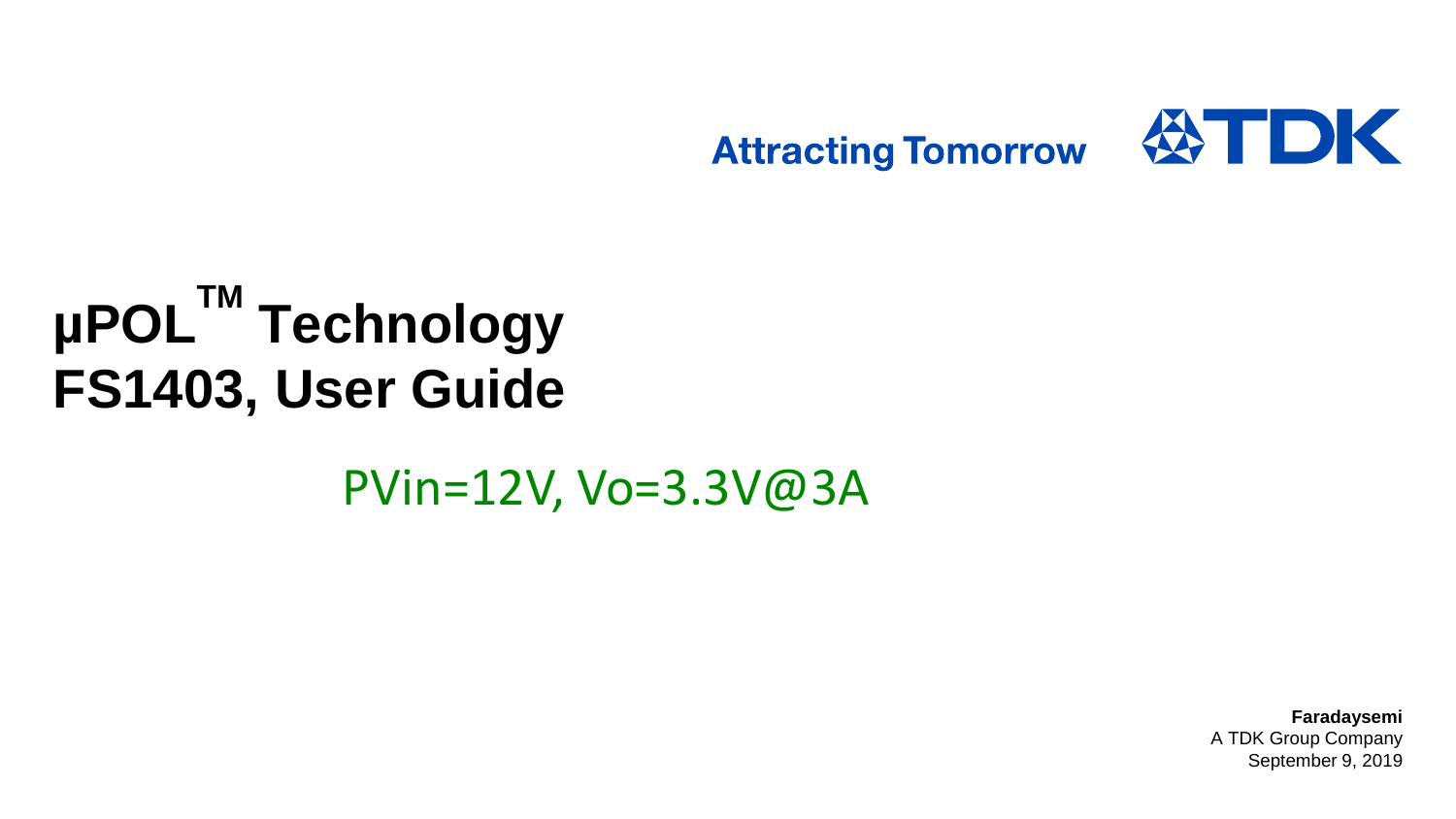

# **µPOLTM Technology FS1403, User Guide**

PVin=12V, Vo=3.3V@3A

**Faradaysemi** A TDK Group Company September 9, 2019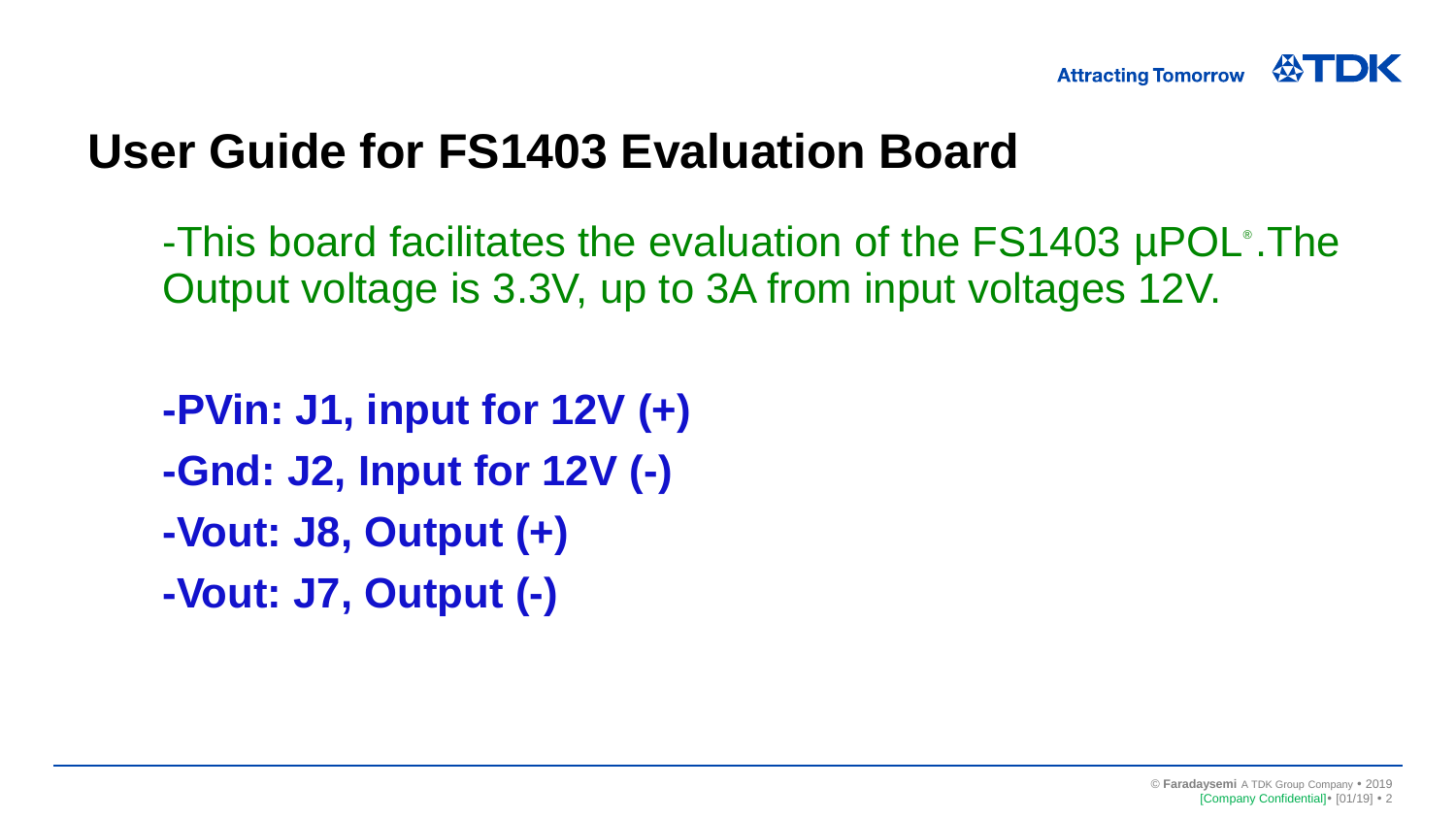

## **User Guide for FS1403 Evaluation Board**

-This board facilitates the evaluation of the FS1403 µPOL® .The Output voltage is 3.3V, up to 3A from input voltages 12V.

**-PVin: J1, input for 12V (+) -Gnd: J2, Input for 12V (-) -Vout: J8, Output (+) -Vout: J7, Output (-)**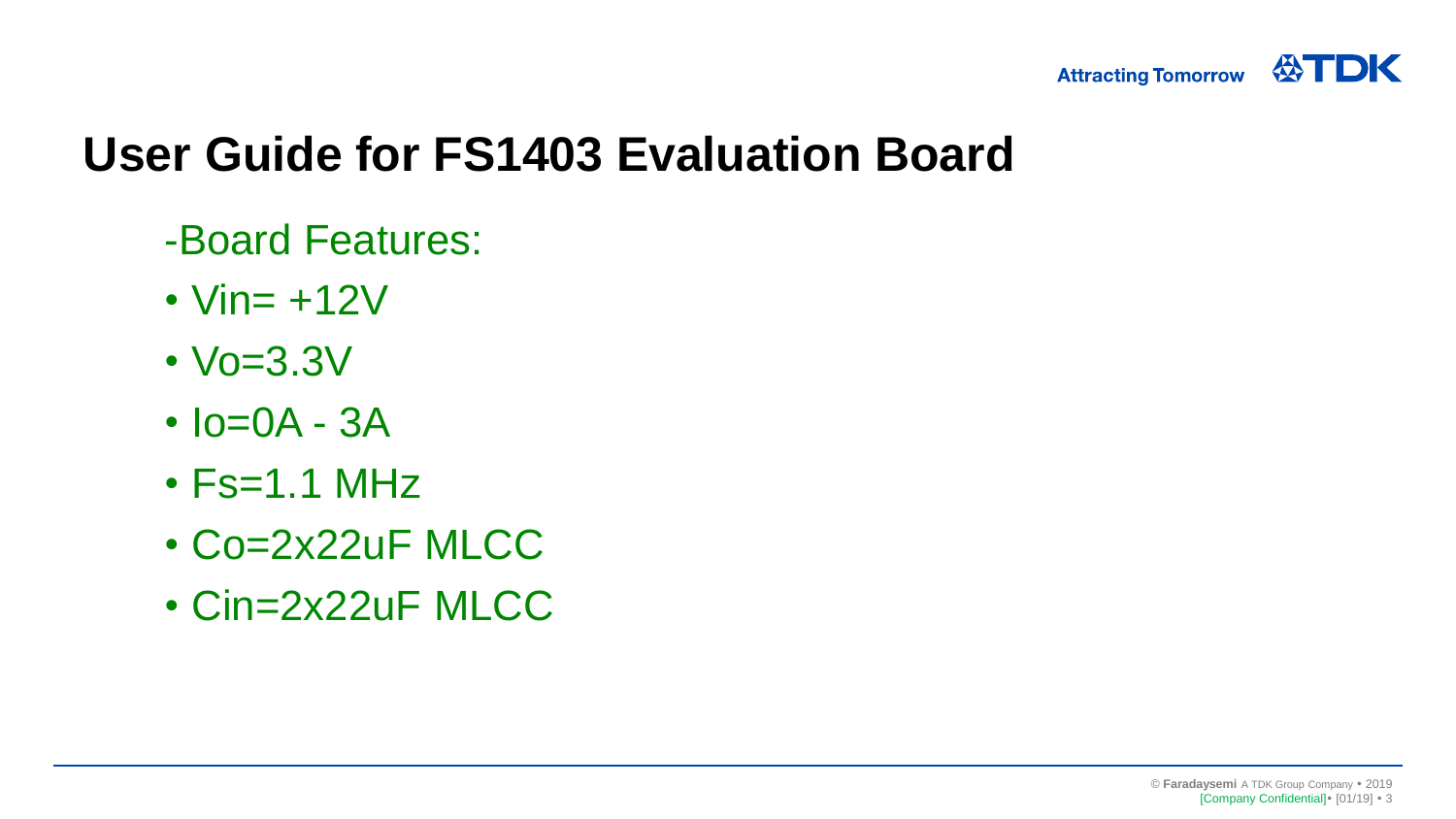

## **User Guide for FS1403 Evaluation Board**

- -Board Features:
- $\cdot$  Vin=  $+12V$
- Vo=3.3V
- $\cdot$   $lo = OA 3A$
- $\cdot$  Fs=1.1 MHz
- Co=2x22uF MLCC
- Cin=2x22uF MLCC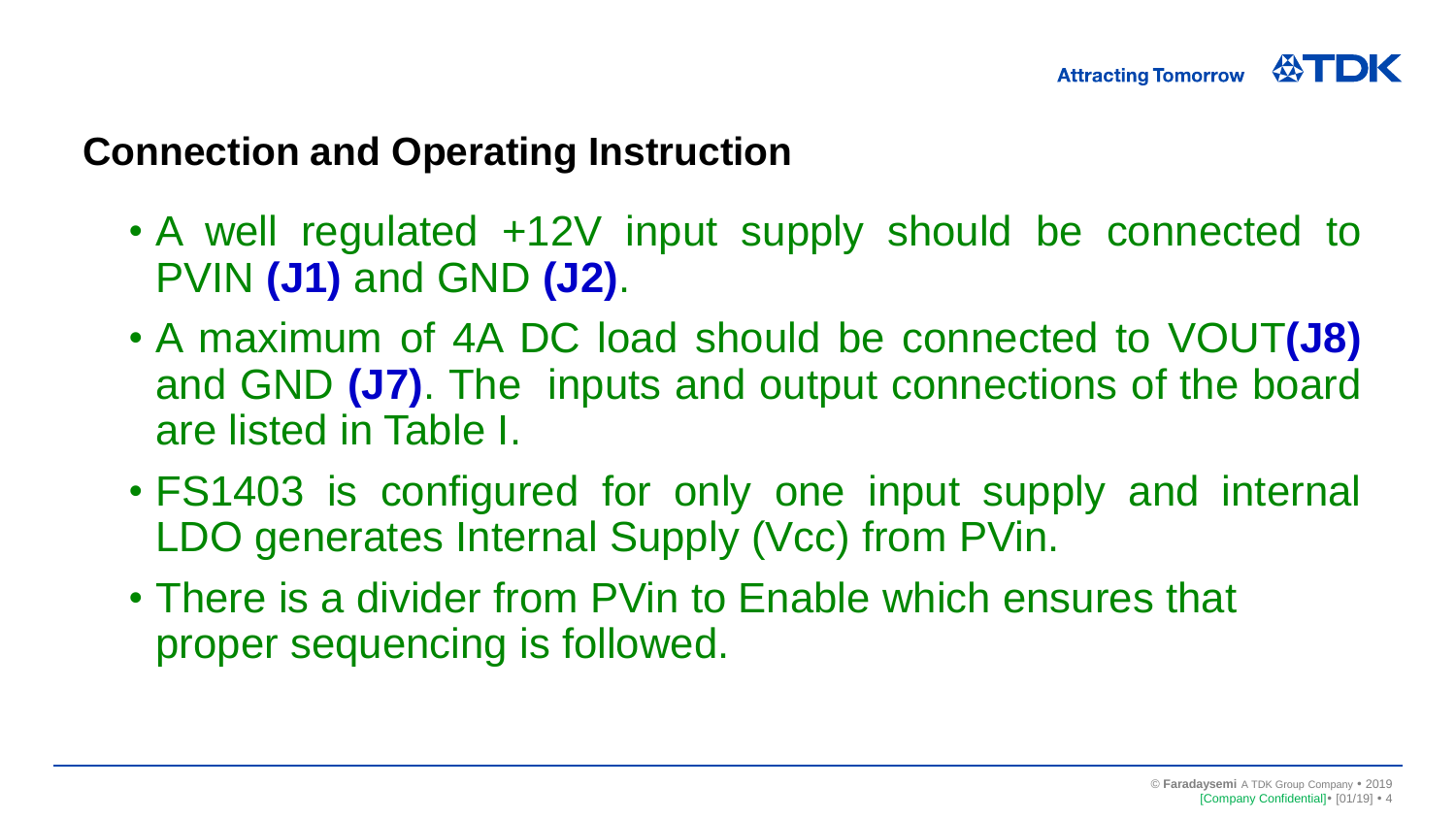#### **Connection and Operating Instruction**

- A well regulated +12V input supply should be connected to PVIN **(J1)** and GND **(J2)**.
- A maximum of 4A DC load should be connected to VOUT**(J8)** and GND **(J7)**. The inputs and output connections of the board are listed in Table I.
- FS1403 is configured for only one input supply and internal LDO generates Internal Supply (Vcc) from PVin.
- There is a divider from PVin to Enable which ensures that proper sequencing is followed.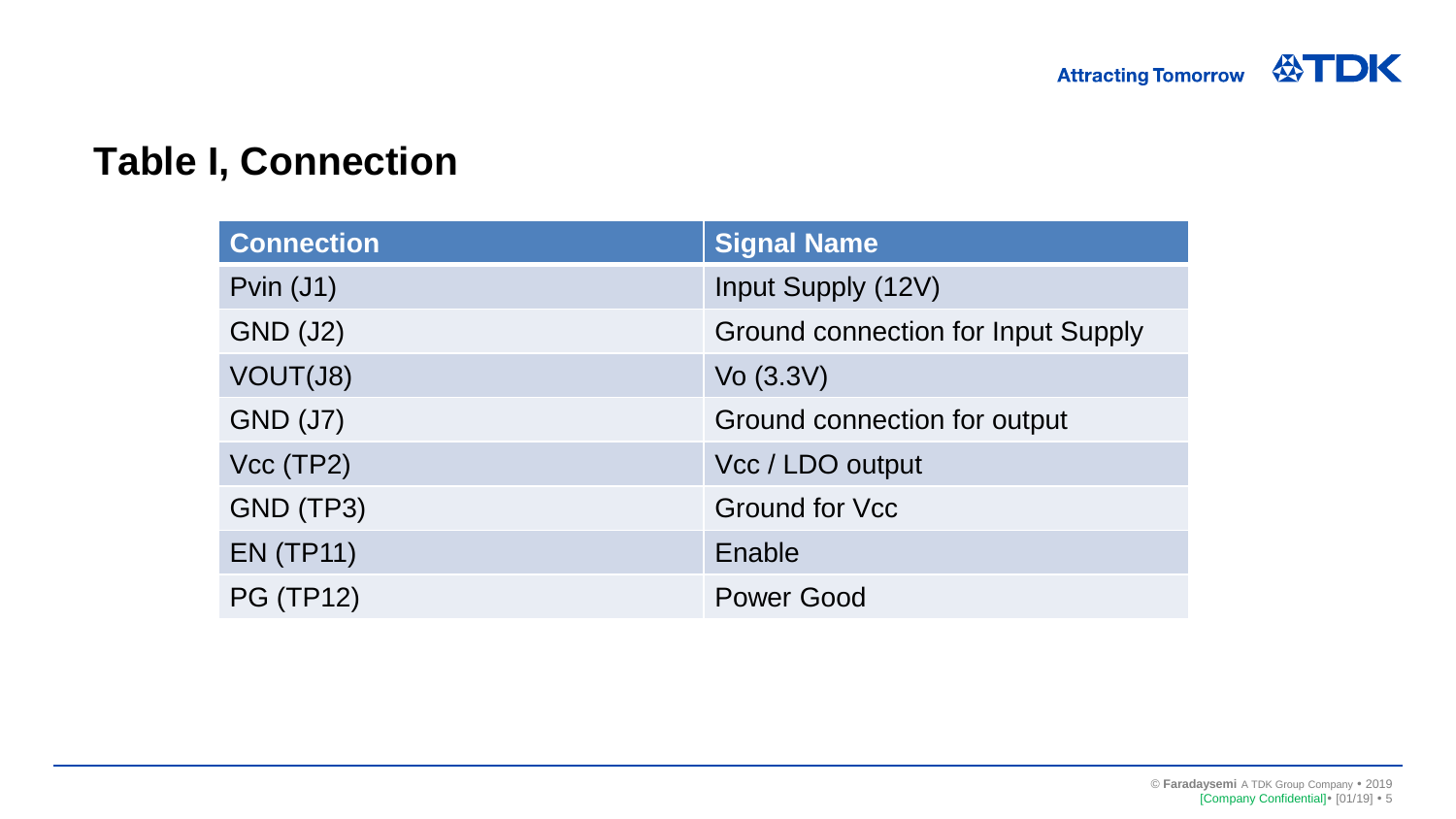#### **Table I, Connection**

| <b>Connection</b> | <b>Signal Name</b>                        |  |
|-------------------|-------------------------------------------|--|
| Pvin $(J1)$       | Input Supply (12V)                        |  |
| <b>GND (J2)</b>   | <b>Ground connection for Input Supply</b> |  |
| VOUT(J8)          | Vo $(3.3V)$                               |  |
| <b>GND (J7)</b>   | Ground connection for output              |  |
| Vcc(TP2)          | Vcc / LDO output                          |  |
| GND (TP3)         | <b>Ground for Vcc</b>                     |  |
| <b>EN (TP11)</b>  | Enable                                    |  |
| <b>PG (TP12)</b>  | <b>Power Good</b>                         |  |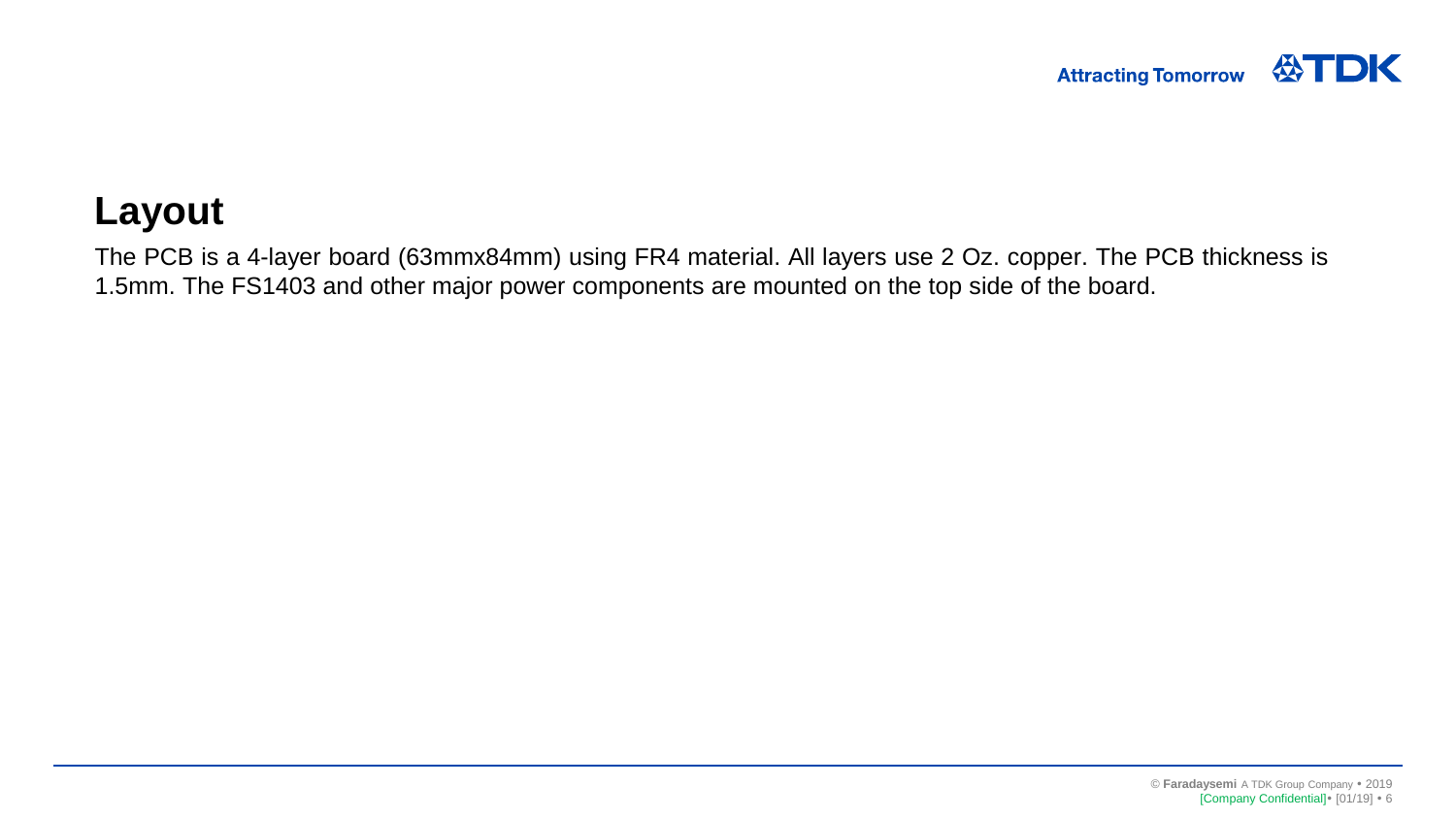#### **Layout**

The PCB is a 4-layer board (63mmx84mm) using FR4 material. All layers use 2 Oz. copper. The PCB thickness is 1.5mm. The FS1403 and other major power components are mounted on the top side of the board.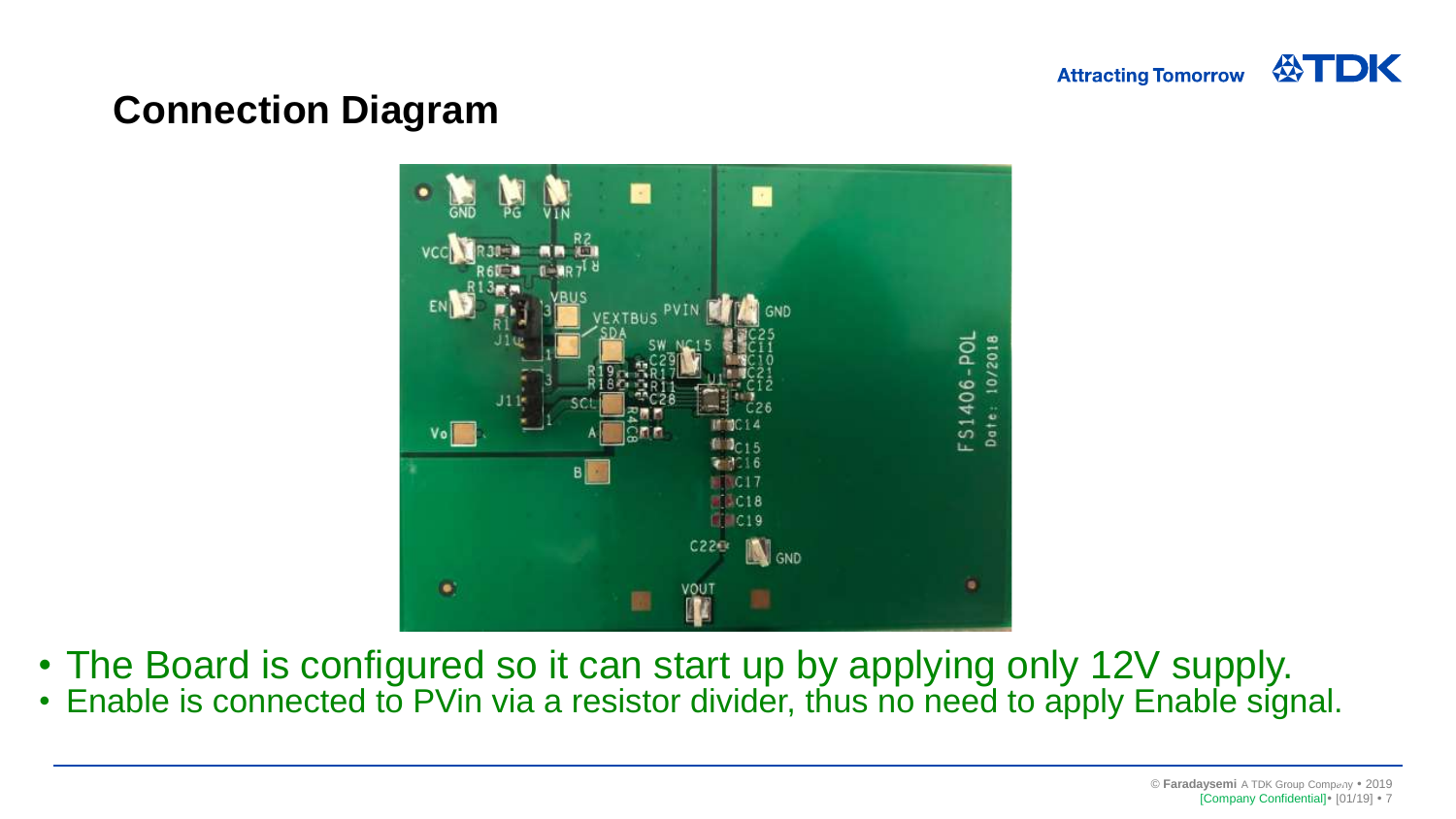

#### **Connection Diagram**



- The Board is configured so it can start up by applying only 12V supply.
- Enable is connected to PVin via a resistor divider, thus no need to apply Enable signal.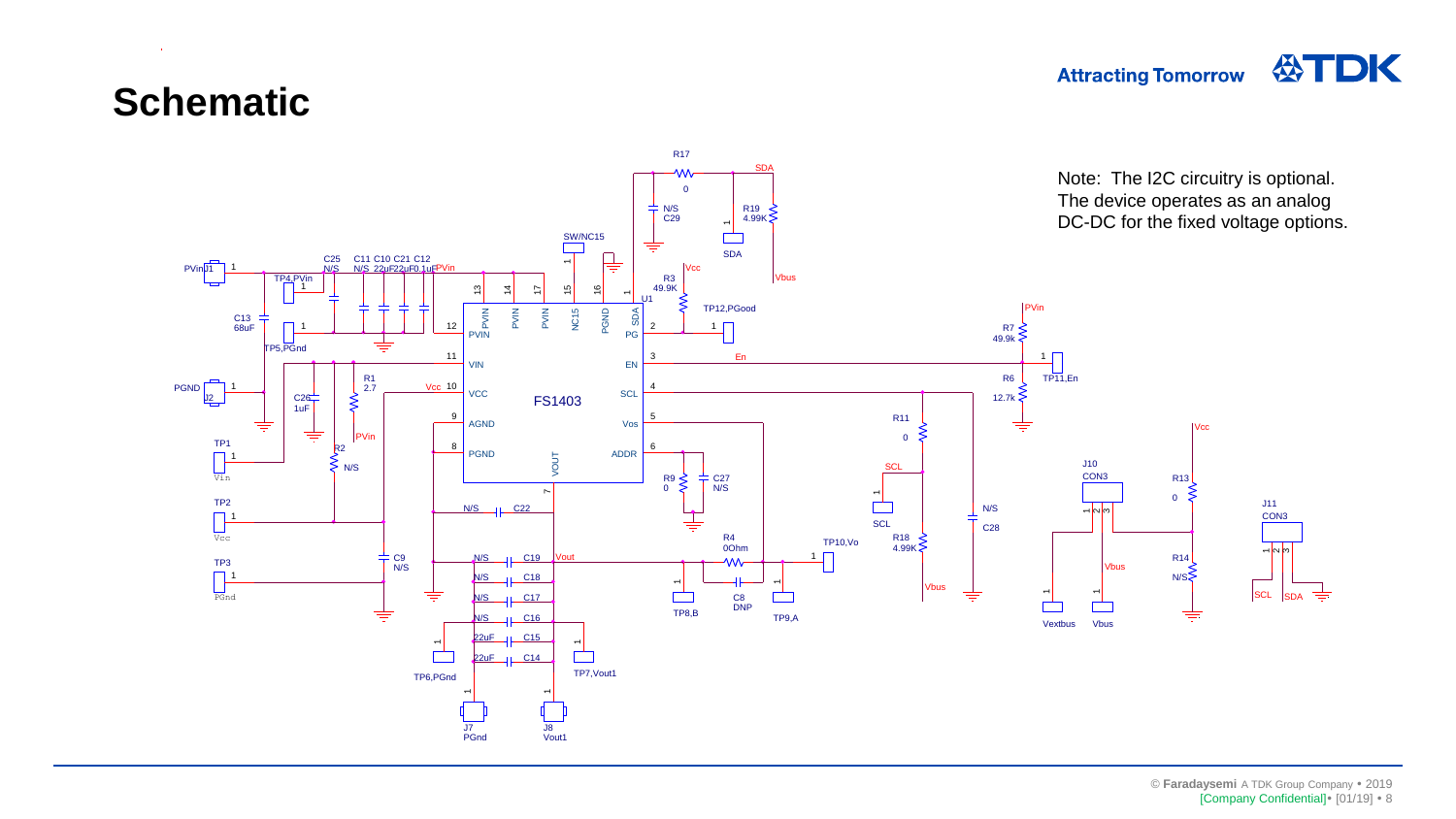#### **Attracting Tomorrow**



#### **Schematic**

 $\sim 10$ 

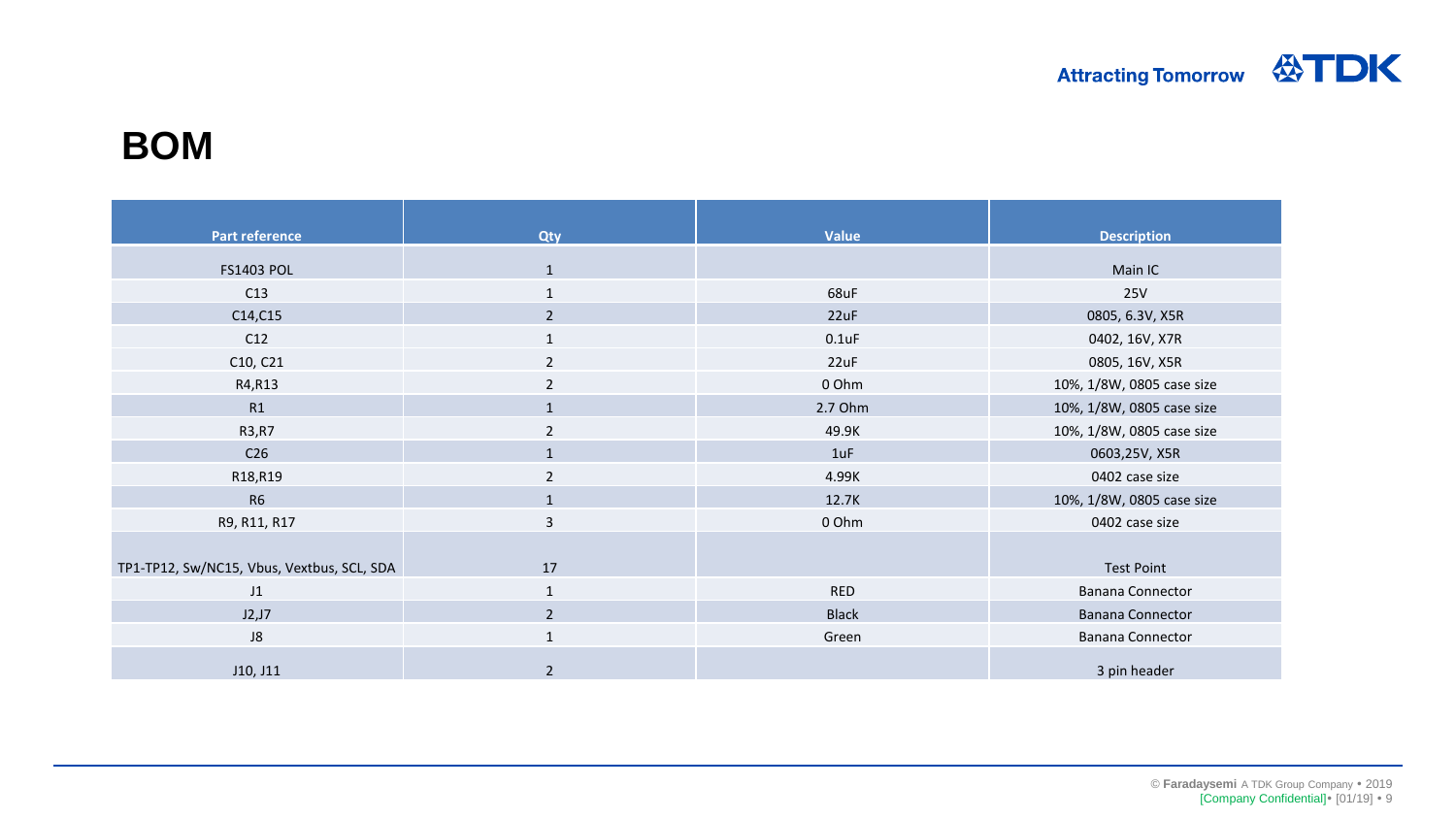#### **BOM**

| <b>Part reference</b>                      | <b>Qty</b>     | <b>Value</b> | <b>Description</b>        |
|--------------------------------------------|----------------|--------------|---------------------------|
| <b>FS1403 POL</b>                          | $\mathbf{1}$   |              | Main IC                   |
| C13                                        | $\mathbf{1}$   | 68uF         | 25V                       |
| C14, C15                                   | $\overline{2}$ | 22uF         | 0805, 6.3V, X5R           |
| C12                                        | $\mathbf{1}$   | $0.1$ uF     | 0402, 16V, X7R            |
| C10, C21                                   | 2              | 22uF         | 0805, 16V, X5R            |
| R4, R13                                    | $\overline{2}$ | 0 Ohm        | 10%, 1/8W, 0805 case size |
| R1                                         | $\mathbf{1}$   | 2.7 Ohm      | 10%, 1/8W, 0805 case size |
| R3, R7                                     | $\overline{2}$ | 49.9K        | 10%, 1/8W, 0805 case size |
| C <sub>26</sub>                            | $\mathbf{1}$   | 1uF          | 0603,25V, X5R             |
| R18,R19                                    | 2              | 4.99K        | 0402 case size            |
| <b>R6</b>                                  | $\mathbf{1}$   | 12.7K        | 10%, 1/8W, 0805 case size |
| R9, R11, R17                               | 3              | 0 Ohm        | 0402 case size            |
|                                            |                |              |                           |
| TP1-TP12, Sw/NC15, Vbus, Vextbus, SCL, SDA | 17             |              | <b>Test Point</b>         |
| J <sub>1</sub>                             | $\mathbf{1}$   | <b>RED</b>   | <b>Banana Connector</b>   |
| J2,J7                                      | $\overline{2}$ | <b>Black</b> | <b>Banana Connector</b>   |
| ${\sf J}8$                                 | $\mathbf{1}$   | Green        | <b>Banana Connector</b>   |
| J10, J11                                   | $\overline{2}$ |              | 3 pin header              |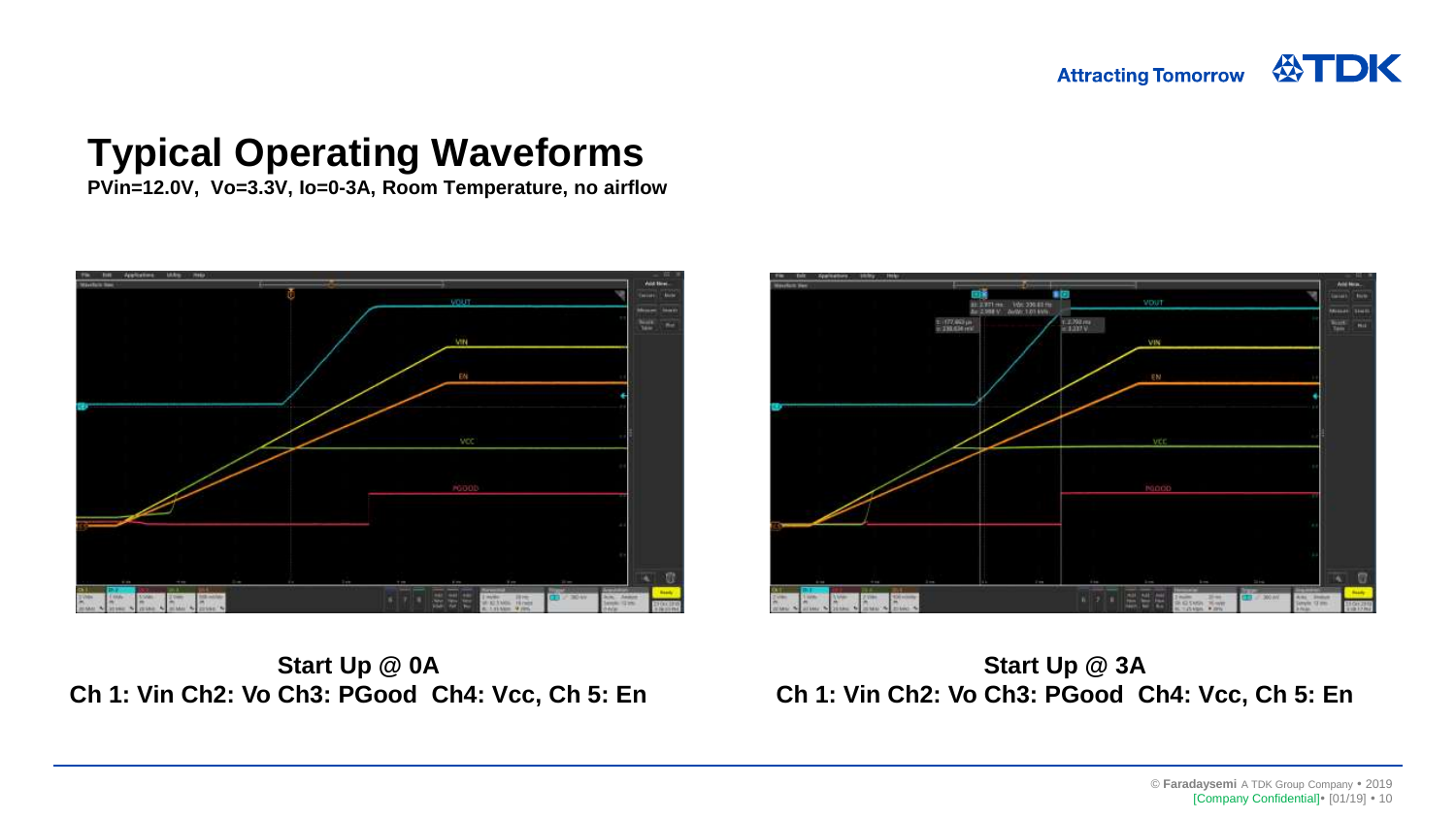VOUT

#### **Typical Operating Waveforms**

**PVin=12.0V, Vo=3.3V, Io=0-3A, Room Temperature, no airflow**



 $-177.001$ 1.4.792 ma **WANTED** 

171 mil. Von 200.00 mil.<br>1808 V. Avril 1.01 kWv.

**Start Up @ 0A Ch 1: Vin Ch2: Vo Ch3: PGood Ch4: Vcc, Ch 5: En**

**Start Up @ 3A Ch 1: Vin Ch2: Vo Ch3: PGood Ch4: Vcc, Ch 5: En**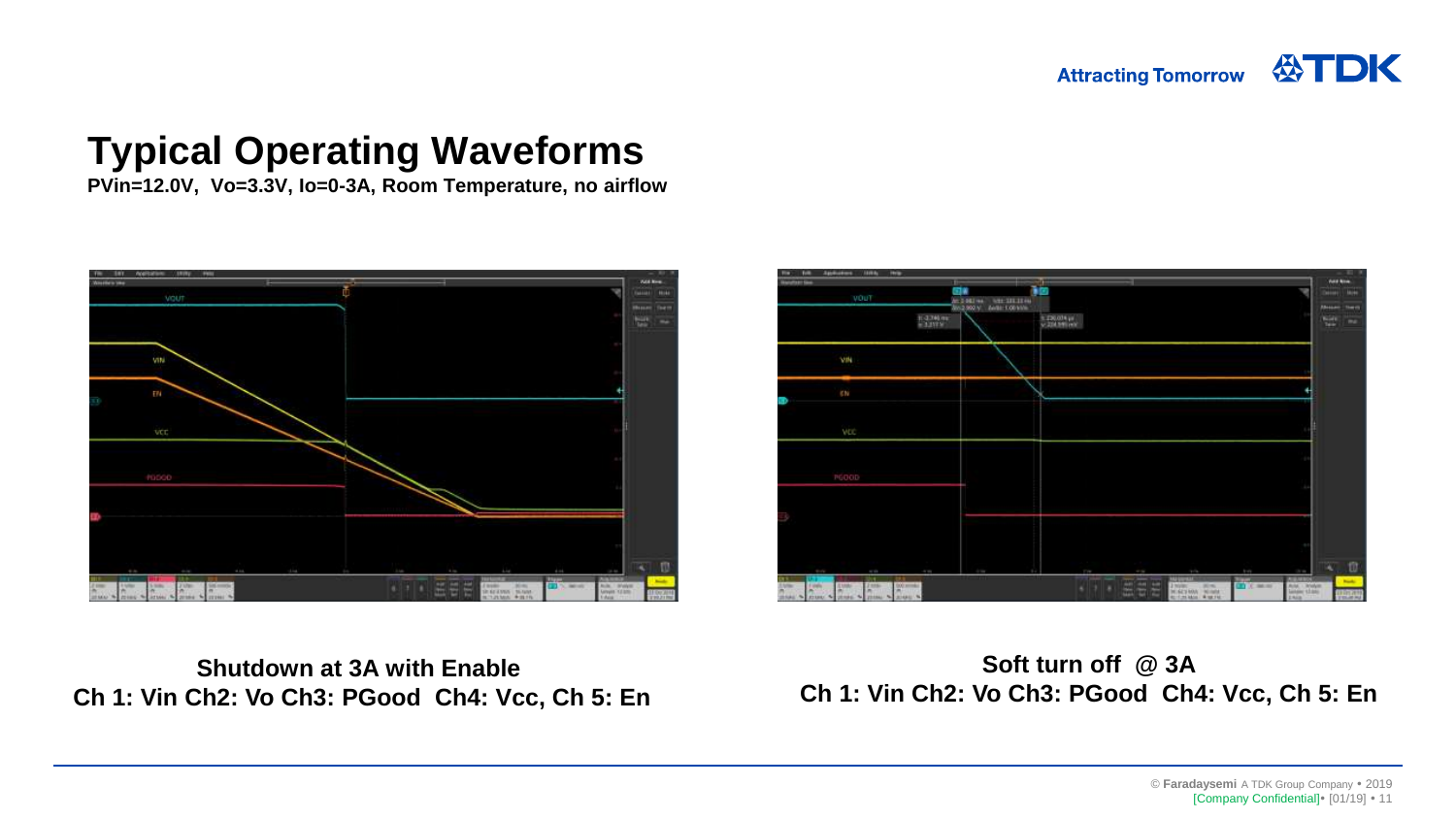公TDK **Attracting Tomorrow** 

#### **Typical Operating Waveforms**

**PVin=12.0V, Vo=3.3V, Io=0-3A, Room Temperature, no airflow**





**Shutdown at 3A with Enable Ch 1: Vin Ch2: Vo Ch3: PGood Ch4: Vcc, Ch 5: En**

**Soft turn off @ 3A Ch 1: Vin Ch2: Vo Ch3: PGood Ch4: Vcc, Ch 5: En**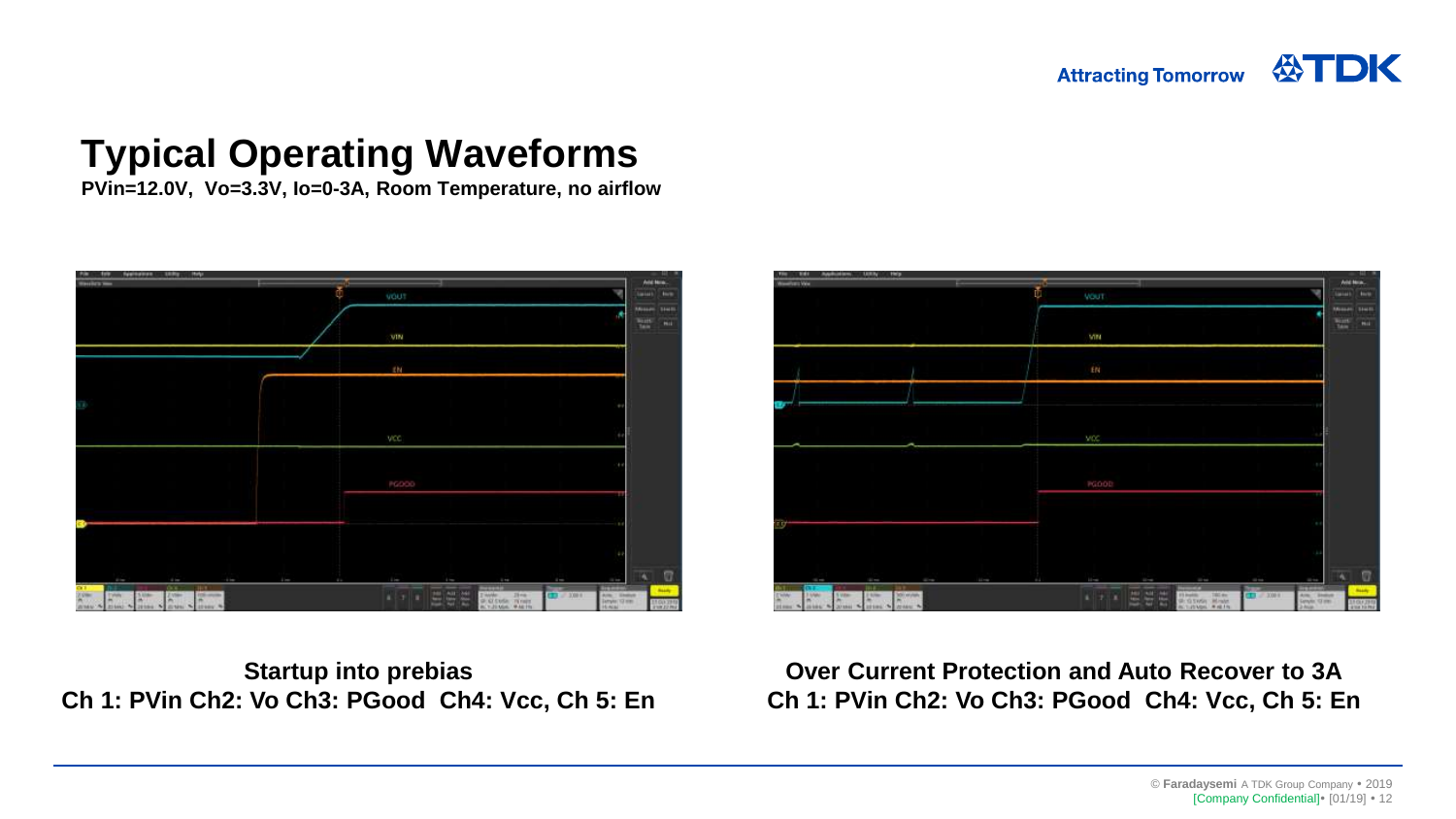公TDK **Attracting Tomorrow** 

#### **Typical Operating Waveforms**

**PVin=12.0V, Vo=3.3V, Io=0-3A, Room Temperature, no airflow**



**Startup into prebias Ch 1: PVin Ch2: Vo Ch3: PGood Ch4: Vcc, Ch 5: En**



**Over Current Protection and Auto Recover to 3A Ch 1: PVin Ch2: Vo Ch3: PGood Ch4: Vcc, Ch 5: En**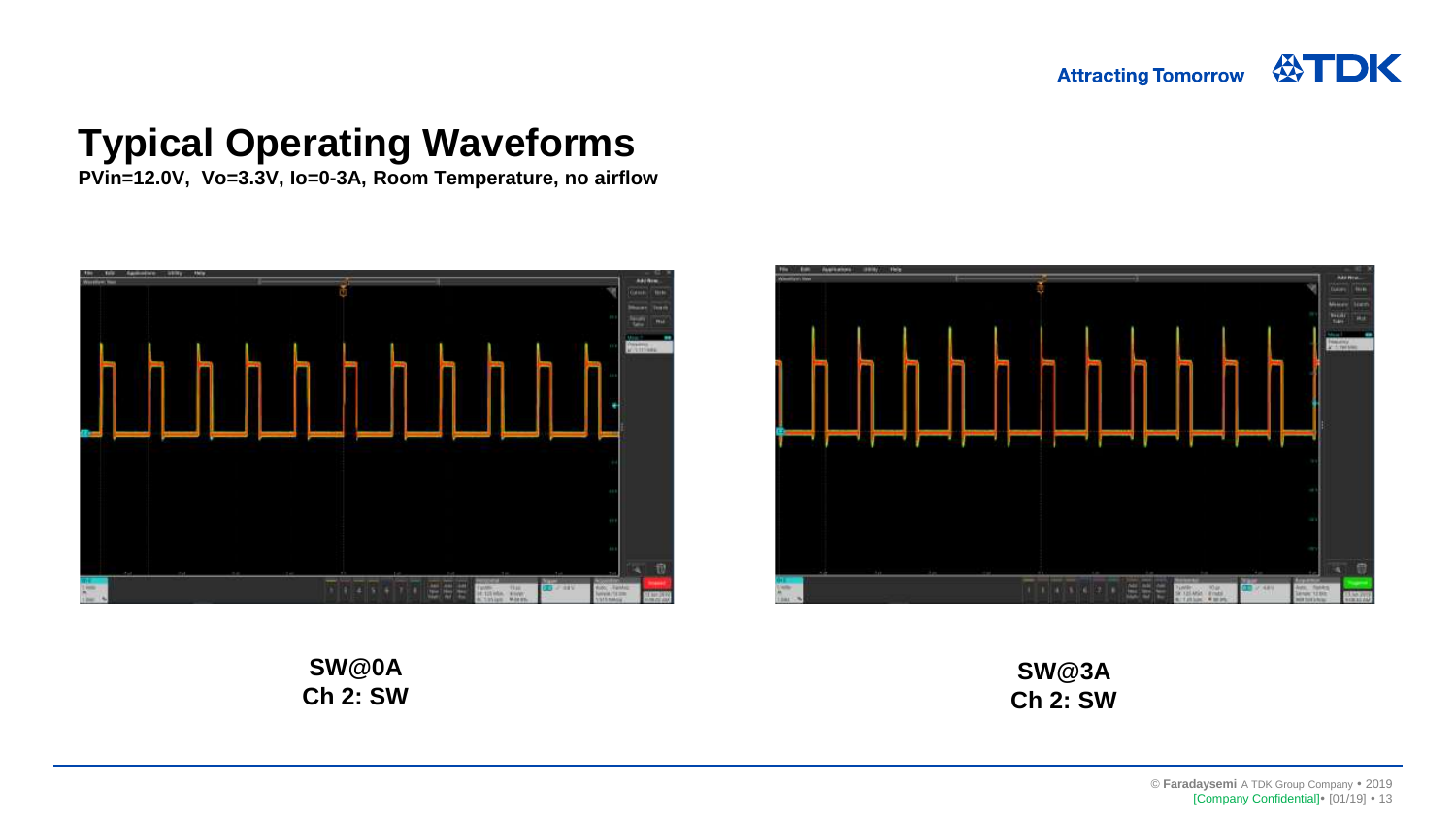**PVin=12.0V, Vo=3.3V, Io=0-3A, Room Temperature, no airflow**





**SW@0A Ch 2: SW**

**SW@3A Ch 2: SW**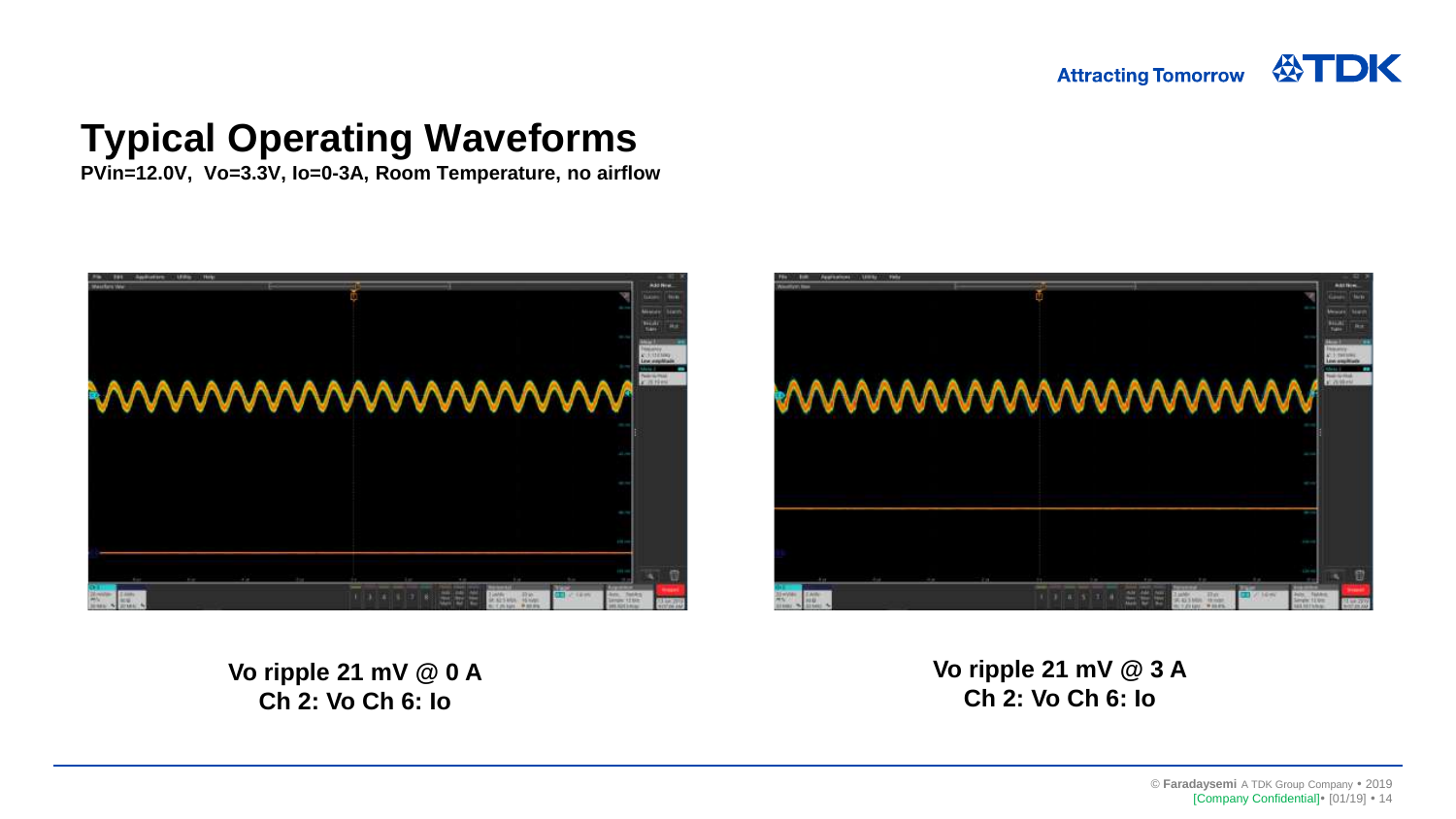**PVin=12.0V, Vo=3.3V, Io=0-3A, Room Temperature, no airflow**





**Vo ripple 21 mV @ 0 A Ch 2: Vo Ch 6: Io**

**Vo ripple 21 mV @ 3 A Ch 2: Vo Ch 6: Io**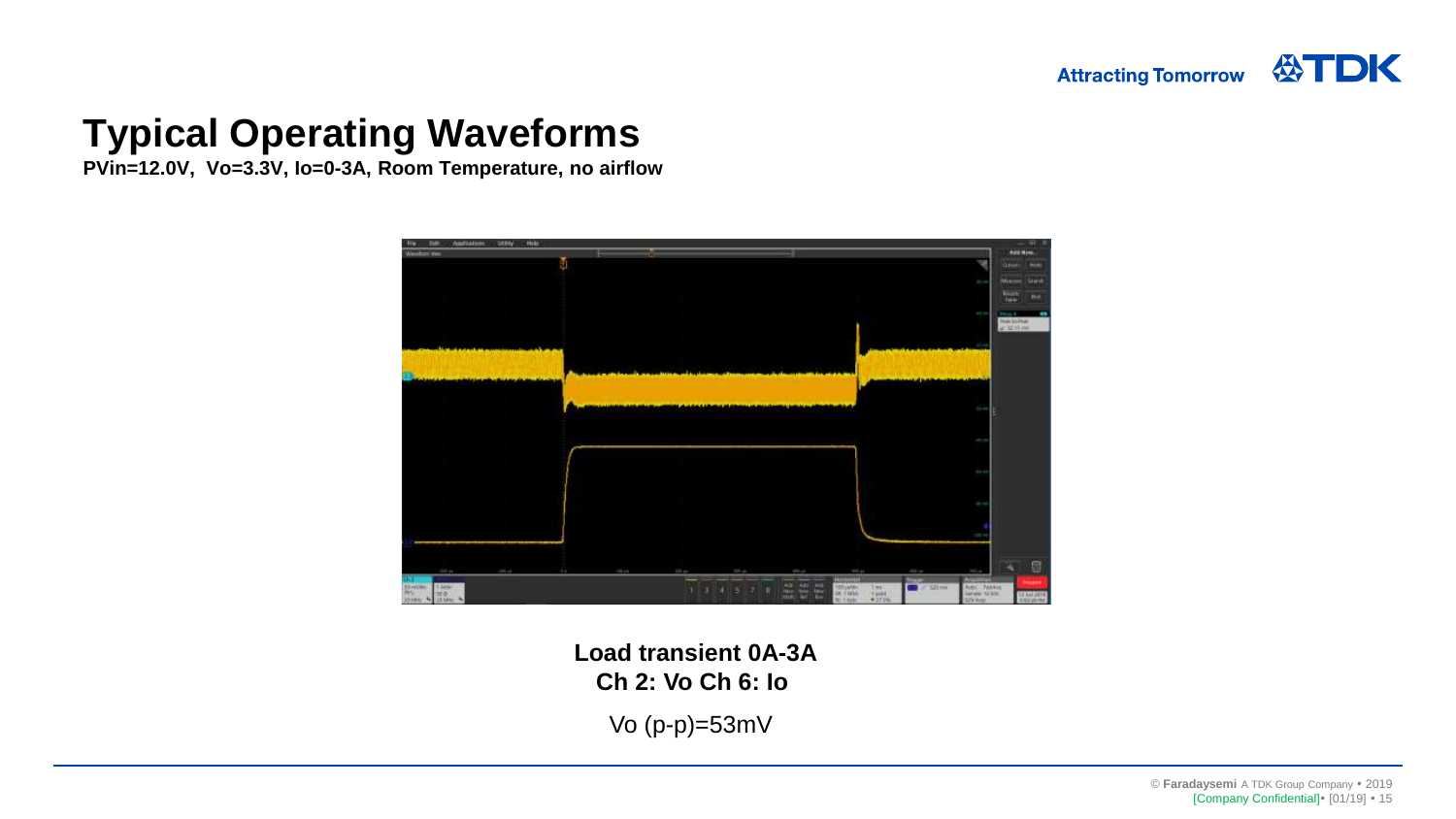**PVin=12.0V, Vo=3.3V, Io=0-3A, Room Temperature, no airflow**



**Load transient 0A-3A Ch 2: Vo Ch 6: Io** 

Vo (p-p)=53mV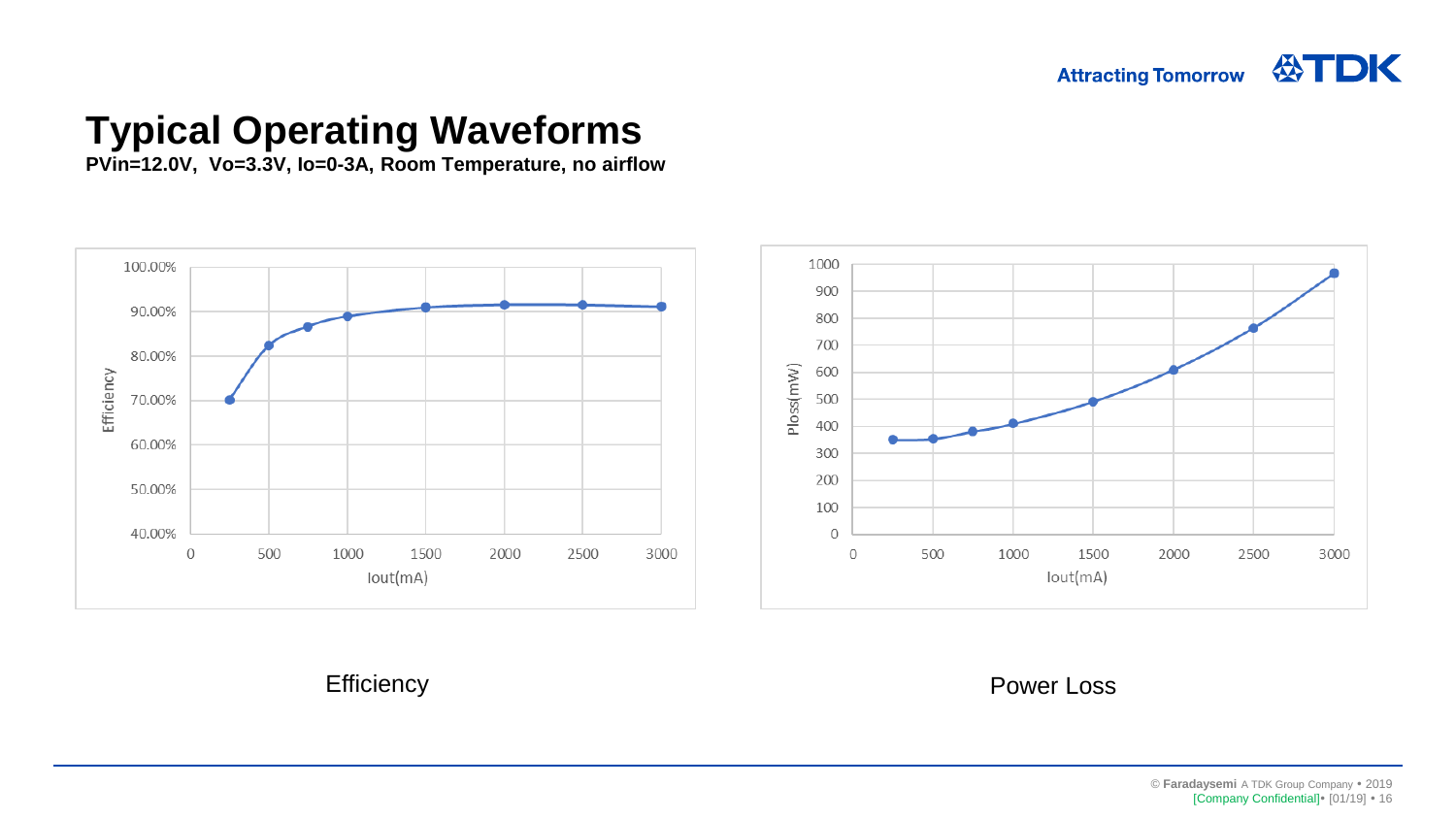公TDK **Attracting Tomorrow** 

#### **Typical Operating Waveforms**

**PVin=12.0V, Vo=3.3V, Io=0-3A, Room Temperature, no airflow**



Efficiency **Power Loss**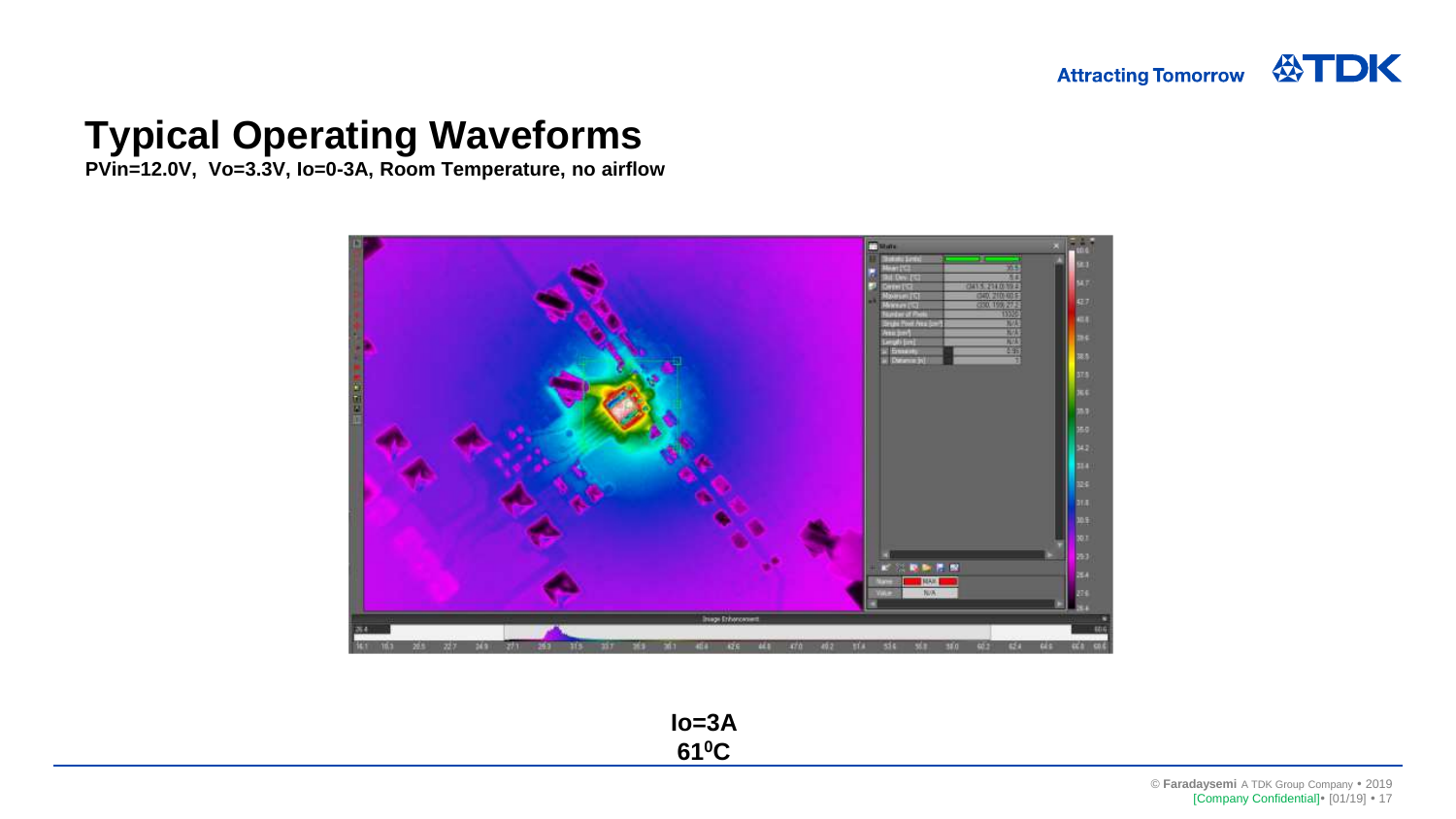**PVin=12.0V, Vo=3.3V, Io=0-3A, Room Temperature, no airflow**



**Io=3A 610C**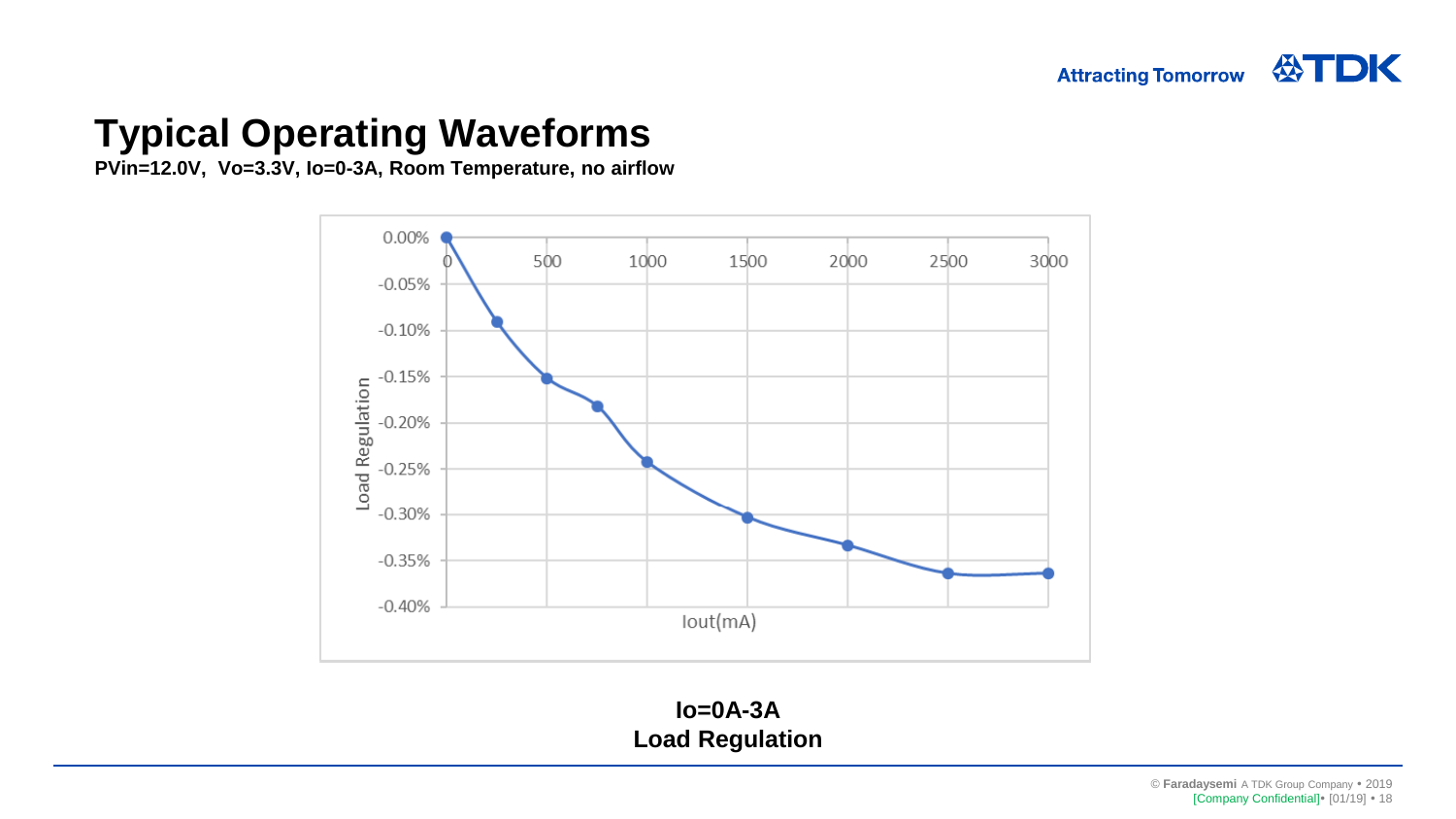**PVin=12.0V, Vo=3.3V, Io=0-3A, Room Temperature, no airflow**



**Io=0A-3A Load Regulation**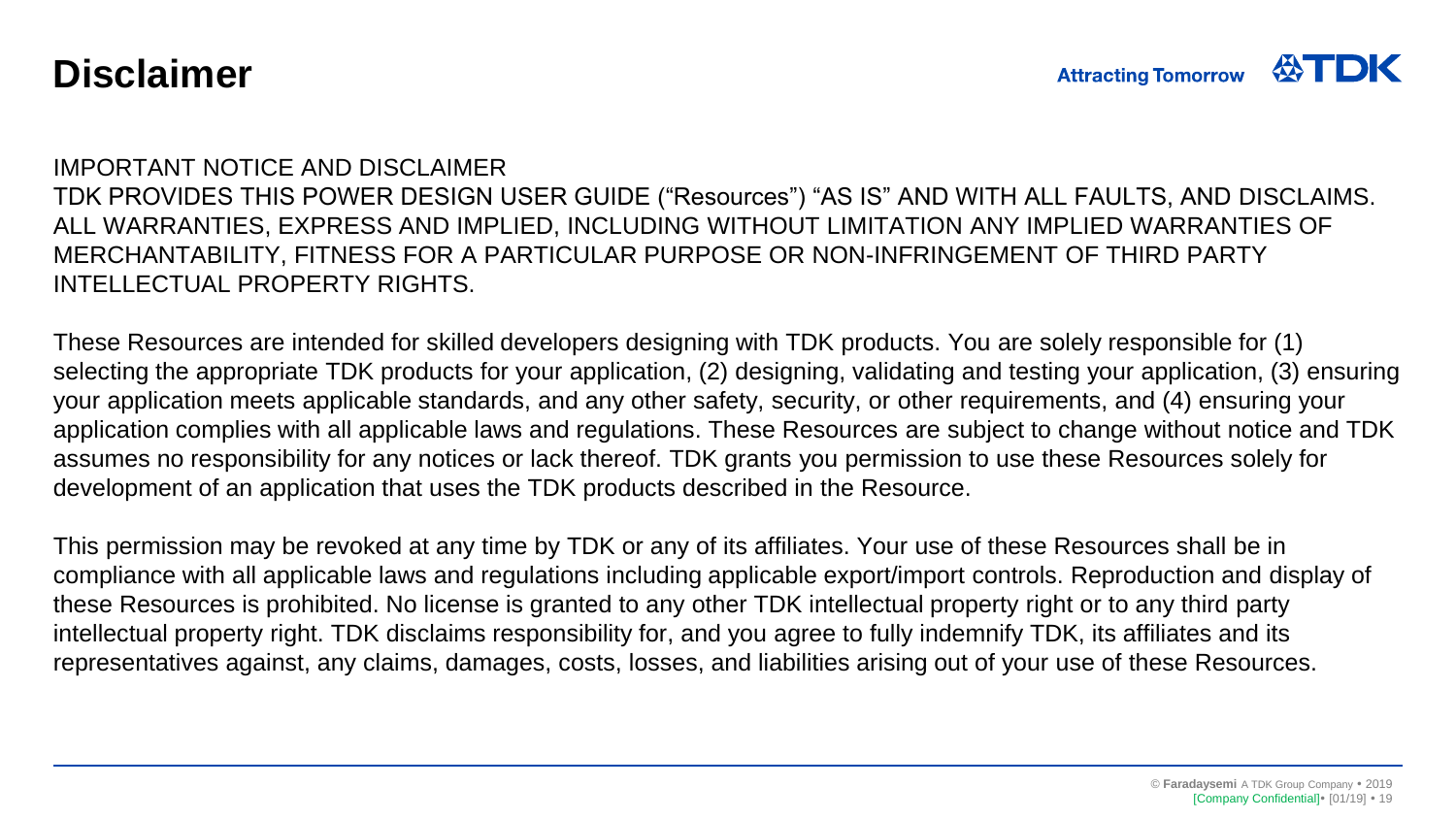#### **Disclaimer**

#### IMPORTANT NOTICE AND DISCLAIMER

TDK PROVIDES THIS POWER DESIGN USER GUIDE ("Resources") "AS IS" AND WITH ALL FAULTS, AND DISCLAIMS. ALL WARRANTIES, EXPRESS AND IMPLIED, INCLUDING WITHOUT LIMITATION ANY IMPLIED WARRANTIES OF MERCHANTABILITY, FITNESS FOR A PARTICULAR PURPOSE OR NON-INFRINGEMENT OF THIRD PARTY INTELLECTUAL PROPERTY RIGHTS.

These Resources are intended for skilled developers designing with TDK products. You are solely responsible for (1) selecting the appropriate TDK products for your application, (2) designing, validating and testing your application, (3) ensuring your application meets applicable standards, and any other safety, security, or other requirements, and (4) ensuring your application complies with all applicable laws and regulations. These Resources are subject to change without notice and TDK assumes no responsibility for any notices or lack thereof. TDK grants you permission to use these Resources solely for development of an application that uses the TDK products described in the Resource.

This permission may be revoked at any time by TDK or any of its affiliates. Your use of these Resources shall be in compliance with all applicable laws and regulations including applicable export/import controls. Reproduction and display of these Resources is prohibited. No license is granted to any other TDK intellectual property right or to any third party intellectual property right. TDK disclaims responsibility for, and you agree to fully indemnify TDK, its affiliates and its representatives against, any claims, damages, costs, losses, and liabilities arising out of your use of these Resources.